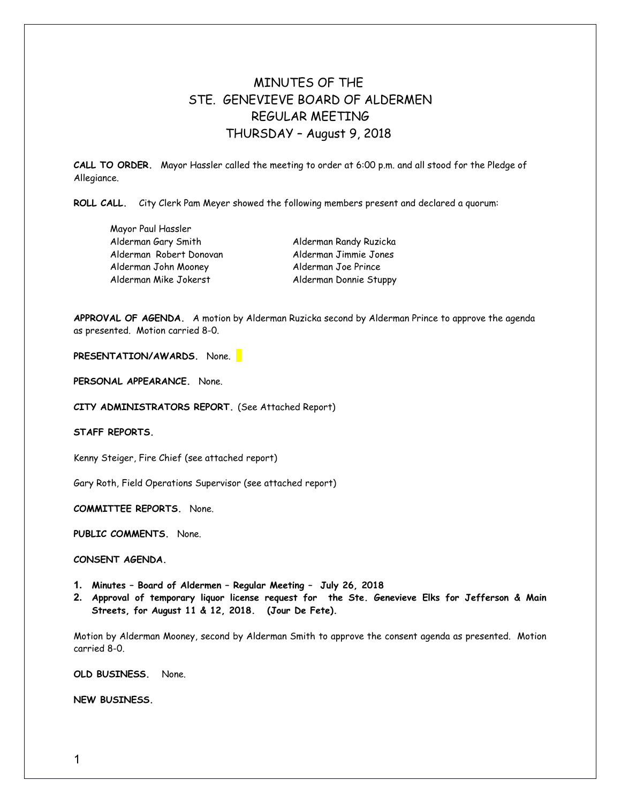## MINUTES OF THE STE. GENEVIEVE BOARD OF ALDERMEN REGULAR MEETING THURSDAY – August 9, 2018

**CALL TO ORDER.** Mayor Hassler called the meeting to order at 6:00 p.m. and all stood for the Pledge of Allegiance.

**ROLL CALL.** City Clerk Pam Meyer showed the following members present and declared a quorum:

| Mayor Paul Hassler      |
|-------------------------|
| Alderman Gary Smith     |
| Alderman Robert Donovan |
| Alderman John Mooney    |
| Alderman Mike Jokerst   |

Alderman Randy Ruzicka Alderman Jimmie Jones Alderman Joe Prince Alderman Donnie Stuppy

**APPROVAL OF AGENDA.** A motion by Alderman Ruzicka second by Alderman Prince to approve the agenda as presented. Motion carried 8-0.

**PRESENTATION/AWARDS.** None.

**PERSONAL APPEARANCE.** None.

**CITY ADMINISTRATORS REPORT.** (See Attached Report)

**STAFF REPORTS.** 

Kenny Steiger, Fire Chief (see attached report)

Gary Roth, Field Operations Supervisor (see attached report)

**COMMITTEE REPORTS.** None.

**PUBLIC COMMENTS.** None.

**CONSENT AGENDA.** 

- **1. Minutes Board of Aldermen Regular Meeting July 26, 2018**
- **2. Approval of temporary liquor license request for the Ste. Genevieve Elks for Jefferson & Main Streets, for August 11 & 12, 2018. (Jour De Fete).**

Motion by Alderman Mooney, second by Alderman Smith to approve the consent agenda as presented. Motion carried 8-0.

**OLD BUSINESS.** None.

**NEW BUSINESS.**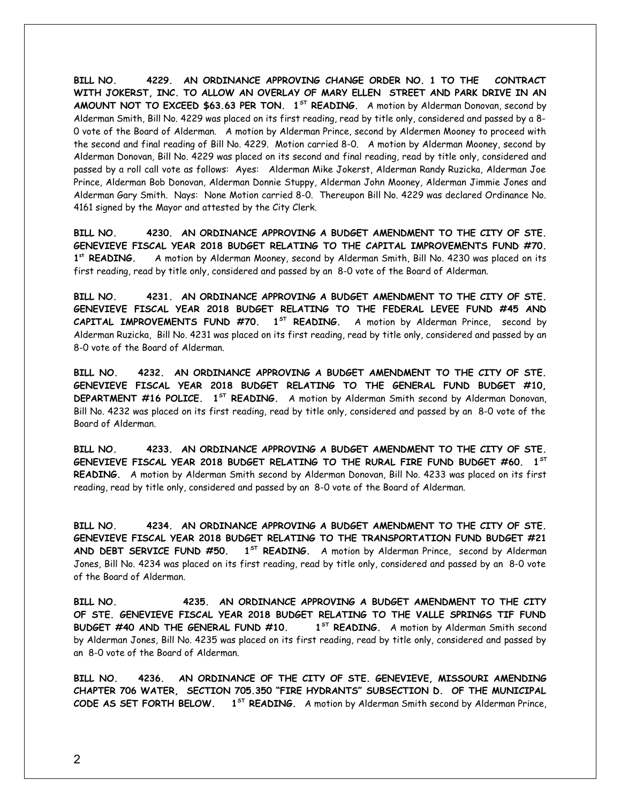**BILL NO. 4229. AN ORDINANCE APPROVING CHANGE ORDER NO. 1 TO THE CONTRACT WITH JOKERST, INC. TO ALLOW AN OVERLAY OF MARY ELLEN STREET AND PARK DRIVE IN AN AMOUNT NOT TO EXCEED \$63.63 PER TON. 1ST READING.** A motion by Alderman Donovan, second by Alderman Smith, Bill No. 4229 was placed on its first reading, read by title only, considered and passed by a 8- 0 vote of the Board of Alderman. A motion by Alderman Prince, second by Aldermen Mooney to proceed with the second and final reading of Bill No. 4229. Motion carried 8-0. A motion by Alderman Mooney, second by Alderman Donovan, Bill No. 4229 was placed on its second and final reading, read by title only, considered and passed by a roll call vote as follows: Ayes: Alderman Mike Jokerst, Alderman Randy Ruzicka, Alderman Joe Prince, Alderman Bob Donovan, Alderman Donnie Stuppy, Alderman John Mooney, Alderman Jimmie Jones and Alderman Gary Smith. Nays: None Motion carried 8-0. Thereupon Bill No. 4229 was declared Ordinance No. 4161 signed by the Mayor and attested by the City Clerk.

**BILL NO. 4230. AN ORDINANCE APPROVING A BUDGET AMENDMENT TO THE CITY OF STE. GENEVIEVE FISCAL YEAR 2018 BUDGET RELATING TO THE CAPITAL IMPROVEMENTS FUND #70.** 1st READING. **st READING.** A motion by Alderman Mooney, second by Alderman Smith, Bill No. 4230 was placed on its first reading, read by title only, considered and passed by an 8-0 vote of the Board of Alderman.

**BILL NO. 4231. AN ORDINANCE APPROVING A BUDGET AMENDMENT TO THE CITY OF STE. GENEVIEVE FISCAL YEAR 2018 BUDGET RELATING TO THE FEDERAL LEVEE FUND #45 AND CAPITAL IMPROVEMENTS FUND #70. 1ST READING.** A motion by Alderman Prince, second by Alderman Ruzicka, Bill No. 4231 was placed on its first reading, read by title only, considered and passed by an 8-0 vote of the Board of Alderman.

**BILL NO. 4232. AN ORDINANCE APPROVING A BUDGET AMENDMENT TO THE CITY OF STE. GENEVIEVE FISCAL YEAR 2018 BUDGET RELATING TO THE GENERAL FUND BUDGET #10, DEPARTMENT #16 POLICE. 1ST READING.** A motion by Alderman Smith second by Alderman Donovan, Bill No. 4232 was placed on its first reading, read by title only, considered and passed by an 8-0 vote of the Board of Alderman.

**BILL NO. 4233. AN ORDINANCE APPROVING A BUDGET AMENDMENT TO THE CITY OF STE. GENEVIEVE FISCAL YEAR 2018 BUDGET RELATING TO THE RURAL FIRE FUND BUDGET #60. 1ST READING.** A motion by Alderman Smith second by Alderman Donovan, Bill No. 4233 was placed on its first reading, read by title only, considered and passed by an 8-0 vote of the Board of Alderman.

**BILL NO. 4234. AN ORDINANCE APPROVING A BUDGET AMENDMENT TO THE CITY OF STE. GENEVIEVE FISCAL YEAR 2018 BUDGET RELATING TO THE TRANSPORTATION FUND BUDGET #21 AND DEBT SERVICE FUND #50. 1ST READING.** A motion by Alderman Prince, second by Alderman Jones, Bill No. 4234 was placed on its first reading, read by title only, considered and passed by an 8-0 vote of the Board of Alderman.

**BILL NO. 4235. AN ORDINANCE APPROVING A BUDGET AMENDMENT TO THE CITY OF STE. GENEVIEVE FISCAL YEAR 2018 BUDGET RELATING TO THE VALLE SPRINGS TIF FUND BUDGET #40 AND THE GENERAL FUND #10.** 1<sup>ST</sup> READING. A motion by Alderman Smith second by Alderman Jones, Bill No. 4235 was placed on its first reading, read by title only, considered and passed by an 8-0 vote of the Board of Alderman.

**BILL NO. 4236. AN ORDINANCE OF THE CITY OF STE. GENEVIEVE, MISSOURI AMENDING CHAPTER 706 WATER, SECTION 705.350 "FIRE HYDRANTS" SUBSECTION D. OF THE MUNICIPAL CODE AS SET FORTH BELOW. 1ST READING.** A motion by Alderman Smith second by Alderman Prince,